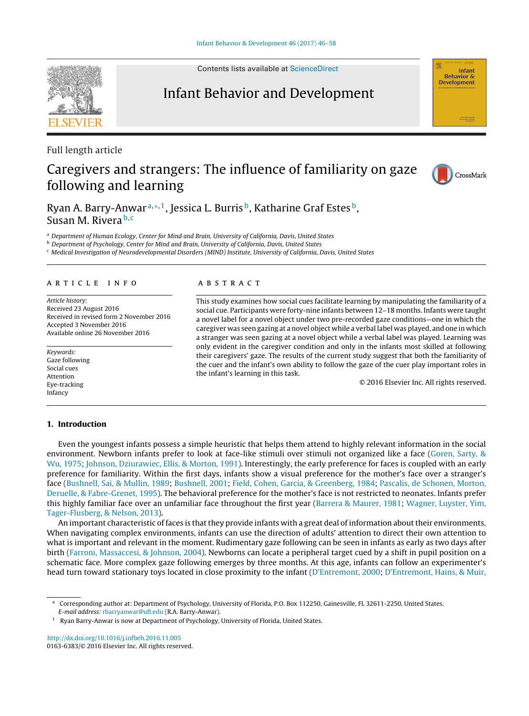Contents lists available at [ScienceDirect](http://www.sciencedirect.com/science/journal/01636383)

# Infant Behavior and Development

Full length article

# Caregivers and strangers: The influence of familiarity on gaze following and learning

Ryan A. Barry-Anwar<sup>a,∗, 1</sup>, Jessica L. Burris<sup>b</sup>, Katharine Graf Estes<sup>b</sup>, Susan M. Rivera b,c

a Department of Human Ecology, Center for Mind and Brain, University of California, Davis, United States

**b** Department of Psychology, Center for Mind and Brain, University of California, Davis, United States

<sup>c</sup> Medical Investigation of Neurodevelopmental Disorders (MIND) Institute, University of California, Davis, United States

# a r t i c l e i n f o

Article history: Received 23 August 2016 Received in revised form 2 November 2016 Accepted 3 November 2016 Available online 26 November 2016

Keywords: Gaze following Social cues Attention Eye-tracking Infancy

# **1. Introduction**

# A B S T R A C T

This study examines how social cues facilitate learning by manipulating the familiarity of a social cue. Participants were forty-nine infants between 12–18 months. Infants were taught a novel label for a novel object under two pre-recorded gaze conditions—one in which the caregiver was seen gazing at a novel object while a verbal label was played, and one in which a stranger was seen gazing at a novel object while a verbal label was played. Learning was only evident in the caregiver condition and only in the infants most skilled at following their caregivers' gaze. The results of the current study suggest that both the familiarity of the cuer and the infant's own ability to follow the gaze of the cuer play important roles in the infant's learning in this task.

© 2016 Elsevier Inc. All rights reserved.

Even the youngest infants possess a simple heuristic that helps them attend to highly relevant information in the social environment. Newborn infants prefer to look at face-like stimuli over stimuli not organized like a face ([Goren,](#page-11-0) [Sarty,](#page-11-0) [&](#page-11-0) [Wu,](#page-11-0) [1975;](#page-11-0) [Johnson,](#page-12-0) [Dziurawiec,](#page-12-0) [Ellis,](#page-12-0) [&](#page-12-0) [Morton,](#page-12-0) [1991\).](#page-12-0) Interestingly, the early preference for faces is coupled with an early preference for familiarity. Within the first days, infants show a visual preference for the mother's face over a stranger's face [\(Bushnell,](#page-11-0) [Sai,](#page-11-0) [&](#page-11-0) [Mullin,](#page-11-0) [1989;](#page-11-0) [Bushnell,](#page-11-0) [2001;](#page-11-0) [Field,](#page-11-0) [Cohen,](#page-11-0) [Garcia,](#page-11-0) [&](#page-11-0) [Greenberg,](#page-11-0) [1984;](#page-11-0) [Pascalis,](#page-12-0) [de](#page-12-0) [Schonen,](#page-12-0) [Morton,](#page-12-0) [Deruelle,](#page-12-0) [&](#page-12-0) [Fabre-Grenet,](#page-12-0) [1995\).](#page-12-0) The behavioral preference for the mother's face is not restricted to neonates. Infants prefer this highly familiar face over an unfamiliar face throughout the first year [\(Barrera](#page-11-0) [&](#page-11-0) [Maurer,](#page-11-0) [1981;](#page-11-0) [Wagner,](#page-12-0) [Luyster,](#page-12-0) [Yim,](#page-12-0) [Tager-Flusberg,](#page-12-0) [&](#page-12-0) [Nelson,](#page-12-0) [2013\).](#page-12-0)

An important characteristic of faces is that they provide infants with a great deal of information about their environments. When navigating complex environments, infants can use the direction of adults' attention to direct their own attention to what is important and relevant in the moment. Rudimentary gaze following can be seen in infants as early as two days after birth [\(Farroni,](#page-11-0) [Massaccesi,](#page-11-0) [&](#page-11-0) [Johnson,](#page-11-0) [2004\).](#page-11-0) Newborns can locate a peripheral target cued by a shift in pupil position on a schematic face. More complex gaze following emerges by three months. At this age, infants can follow an experimenter's head turn toward stationary toys located in close proximity to the infant ([D'Entremont,](#page-11-0) [2000;](#page-11-0) [D'Entremont,](#page-11-0) [Hains,](#page-11-0) [&](#page-11-0) [Muir,](#page-11-0)







<sup>∗</sup> Corresponding author at: Department of Psychology, University of Florida, P.O. Box 112250, Gainesville, FL 32611-2250, United States. E-mail address: [rbarryanwar@ufl.edu](mailto:rbarryanwar@ufl.edu) (R.A. Barry-Anwar).

<sup>&</sup>lt;sup>1</sup> Ryan Barry-Anwar is now at Department of Psychology, University of Florida, United States.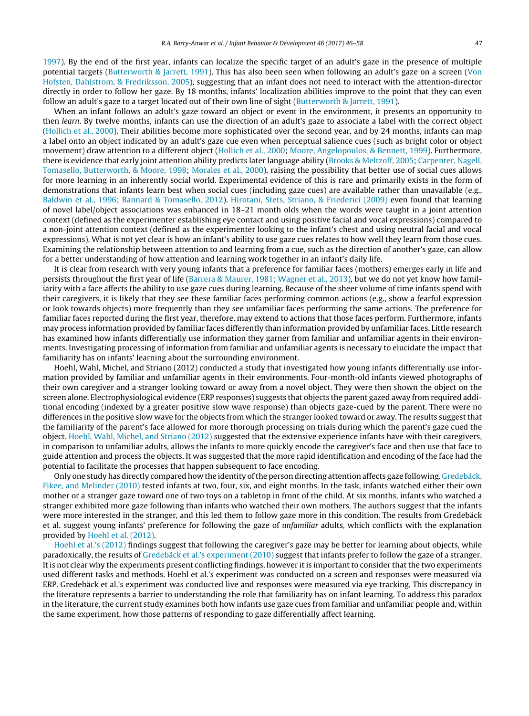[1997\).](#page-11-0) By the end of the first year, infants can localize the specific target of an adult's gaze in the presence of multiple potential targets [\(Butterworth](#page-11-0) [&](#page-11-0) [Jarrett,](#page-11-0) [1991\).](#page-11-0) This has also been seen when following an adult's gaze on a screen ([Von](#page-12-0) [Hofsten,](#page-12-0) [Dahlstrom,](#page-12-0) [&](#page-12-0) [Fredriksson,](#page-12-0) [2005\),](#page-12-0) suggesting that an infant does not need to interact with the attention-director directly in order to follow her gaze. By 18 months, infants' localization abilities improve to the point that they can even follow an adult's gaze to a target located out of their own line of sight [\(Butterworth](#page-11-0) [&](#page-11-0) [Jarrett,](#page-11-0) [1991\).](#page-11-0)

When an infant follows an adult's gaze toward an object or event in the environment, it presents an opportunity to then learn. By twelve months, infants can use the direction of an adult's gaze to associate a label with the correct object [\(Hollich](#page-12-0) et [al.,](#page-12-0) [2000\).](#page-12-0) Their abilities become more sophisticated over the second year, and by 24 months, infants can map a label onto an object indicated by an adult's gaze cue even when perceptual salience cues (such as bright color or object movement) draw attention to a different object [\(Hollich](#page-12-0) et [al.,](#page-12-0) [2000;](#page-12-0) [Moore,](#page-12-0) [Angelopoulos,](#page-12-0) [&](#page-12-0) [Bennett,](#page-12-0) [1999\).](#page-12-0) Furthermore, there is evidence that early joint attention ability predicts later language ability [\(Brooks](#page-11-0) [&](#page-11-0) [Meltzoff,](#page-11-0) [2005;](#page-11-0) [Carpenter,](#page-11-0) [Nagell,](#page-11-0) [Tomasello,](#page-11-0) [Butterworth,](#page-11-0) [&](#page-11-0) [Moore,](#page-11-0) [1998;](#page-11-0) [Morales](#page-12-0) et [al.,](#page-12-0) [2000\),](#page-12-0) raising the possibility that better use of social cues allows for more learning in an inherently social world. Experimental evidence of this is rare and primarily exists in the form of demonstrations that infants learn best when social cues (including gaze cues) are available rather than unavailable (e.g., [Baldwin](#page-11-0) et [al.,](#page-11-0) [1996;](#page-11-0) [Bannard](#page-11-0) [&](#page-11-0) [Tomasello,](#page-11-0) [2012\).](#page-11-0) [Hirotani,](#page-11-0) [Stets,](#page-11-0) [Striano,](#page-11-0) [&](#page-11-0) [Friederici](#page-11-0) [\(2009\)](#page-11-0) even found that learning of novel label/object associations was enhanced in 18–21 month olds when the words were taught in a joint attention context (defined as the experimenter establishing eye contact and using positive facial and vocal expressions) compared to a non-joint attention context (defined as the experimenter looking to the infant's chest and using neutral facial and vocal expressions). What is not yet clear is how an infant's ability to use gaze cues relates to how well they learn from those cues. Examining the relationship between attention to and learning from a cue, such as the direction of another's gaze, can allow for a better understanding of how attention and learning work together in an infant's daily life.

It is clear from research with very young infants that a preference for familiar faces (mothers) emerges early in life and persists throughout the first year of life ([Barrera](#page-11-0) [&](#page-11-0) [Maurer,](#page-11-0) [1981;](#page-11-0) [Wagner](#page-11-0) et [al.,](#page-11-0) [2013\),](#page-11-0) but we do not yet know how familiarity with a face affects the ability to use gaze cues during learning. Because of the sheer volume of time infants spend with their caregivers, it is likely that they see these familiar faces performing common actions (e.g., show a fearful expression or look towards objects) more frequently than they see unfamiliar faces performing the same actions. The preference for familiar faces reported during the first year, therefore, may extend to actions that those faces perform. Furthermore, infants may process information provided by familiar faces differently than information provided by unfamiliar faces. Little research has examined how infants differentially use information they garner from familiar and unfamiliar agents in their environments. Investigating processing of information from familiar and unfamiliar agents is necessary to elucidate the impact that familiarity has on infants' learning about the surrounding environment.

Hoehl, Wahl, Michel, and Striano (2012) conducted a study that investigated how young infants differentially use information provided by familiar and unfamiliar agents in their environments. Four-month-old infants viewed photographs of their own caregiver and a stranger looking toward or away from a novel object. They were then shown the object on the screen alone. Electrophysiological evidence (ERP responses) suggests that objects the parent gazed away from required additional encoding (indexed by a greater positive slow wave response) than objects gaze-cued by the parent. There were no differences in the positive slow wave for the objects from which the stranger looked toward or away. The results suggest that the familiarity of the parent's face allowed for more thorough processing on trials during which the parent's gaze cued the object. [Hoehl,](#page-12-0) [Wahl,](#page-12-0) [Michel,](#page-12-0) [and](#page-12-0) [Striano](#page-12-0) [\(2012\)](#page-12-0) suggested that the extensive experience infants have with their caregivers, in comparison to unfamiliar adults, allows the infants to more quickly encode the caregiver's face and then use that face to guide attention and process the objects. It was suggested that the more rapid identification and encoding of the face had the potential to facilitate the processes that happen subsequent to face encoding.

Only one study has directly compared how the identity of the person directing attention affects gaze following. [Gredebäck,](#page-11-0) [Fikee,](#page-11-0) [and](#page-11-0) [Melinder](#page-11-0) [\(2010\)](#page-11-0) tested infants at two, four, six, and eight months. In the task, infants watched either their own mother or a stranger gaze toward one of two toys on a tabletop in front of the child. At six months, infants who watched a stranger exhibited more gaze following than infants who watched their own mothers. The authors suggest that the infants were more interested in the stranger, and this led them to follow gaze more in this condition. The results from Gredebäck et al. suggest young infants' preference for following the gaze of unfamiliar adults, which conflicts with the explanation provided by [Hoehl](#page-12-0) et [al.](#page-12-0) [\(2012\).](#page-12-0)

[Hoehl](#page-12-0) et [al.'s](#page-12-0) [\(2012\)](#page-12-0) findings suggest that following the caregiver's gaze may be better for learning about objects, while paradoxically, the results of [Gredebäck](#page-11-0) et [al.'s](#page-11-0) [experiment](#page-11-0) [\(2010\)](#page-11-0) suggest that infants prefer to follow the gaze of a stranger. Itis not clear why the experiments present conflicting findings, however itis importantto consider thatthe two experiments used different tasks and methods. Hoehl et al.'s experiment was conducted on a screen and responses were measured via ERP. Gredebäck et al.'s experiment was conducted live and responses were measured via eye tracking. This discrepancy in the literature represents a barrier to understanding the role that familiarity has on infant learning. To address this paradox in the literature, the current study examines both how infants use gaze cues from familiar and unfamiliar people and, within the same experiment, how those patterns of responding to gaze differentially affect learning.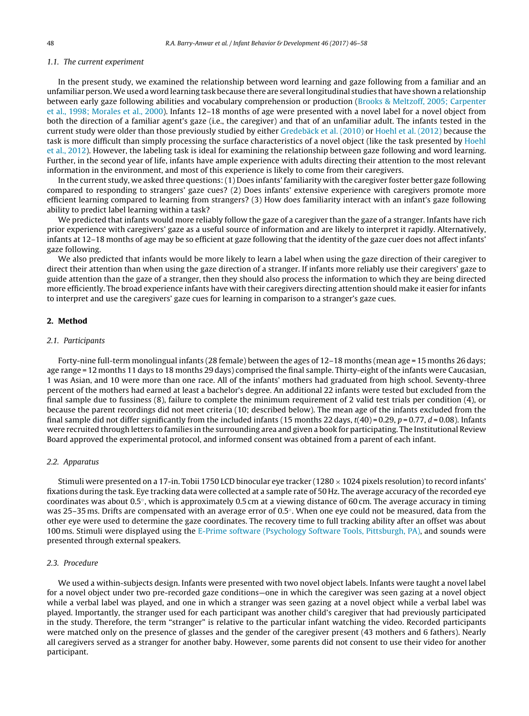# 1.1. The current experiment

In the present study, we examined the relationship between word learning and gaze following from a familiar and an unfamiliar person.We used a word learning task because there are several longitudinal studies thathave showna relationship between early gaze following abilities and vocabulary comprehension or production ([Brooks](#page-11-0) [&](#page-11-0) [Meltzoff,](#page-11-0) [2005;](#page-11-0) [Carpenter](#page-11-0) et [al.,](#page-11-0) [1998;](#page-11-0) [Morales](#page-11-0) et [al.,](#page-11-0) [2000\).](#page-11-0) Infants 12–18 months of age were presented with a novel label for a novel object from both the direction of a familiar agent's gaze (i.e., the caregiver) and that of an unfamiliar adult. The infants tested in the current study were older than those previously studied by either [Gredebäck](#page-11-0) et [al.](#page-11-0) [\(2010\)](#page-11-0) or [Hoehl](#page-12-0) et [al.](#page-12-0) [\(2012\)](#page-12-0) because the task is more difficult than simply processing the surface characteristics of a novel object (like the task presented by [Hoehl](#page-12-0) et [al.,](#page-12-0) [2012\).](#page-12-0) However, the labeling task is ideal for examining the relationship between gaze following and word learning. Further, in the second year of life, infants have ample experience with adults directing their attention to the most relevant information in the environment, and most of this experience is likely to come from their caregivers.

In the current study, we asked three questions:(1) Does infants' familiarity with the caregiver foster better gaze following compared to responding to strangers' gaze cues? (2) Does infants' extensive experience with caregivers promote more efficient learning compared to learning from strangers? (3) How does familiarity interact with an infant's gaze following ability to predict label learning within a task?

We predicted that infants would more reliably follow the gaze of a caregiver than the gaze of a stranger. Infants have rich prior experience with caregivers' gaze as a useful source of information and are likely to interpret it rapidly. Alternatively, infants at 12–18 months of age may be so efficient at gaze following that the identity of the gaze cuer does not affect infants' gaze following.

We also predicted that infants would be more likely to learn a label when using the gaze direction of their caregiver to direct their attention than when using the gaze direction of a stranger. If infants more reliably use their caregivers' gaze to guide attention than the gaze of a stranger, then they should also process the information to which they are being directed more efficiently. The broad experience infants have with their caregivers directing attention should make it easier for infants to interpret and use the caregivers' gaze cues for learning in comparison to a stranger's gaze cues.

## **2. Method**

#### 2.1. Participants

Forty-nine full-term monolingual infants (28 female) between the ages of 12–18 months (mean age = 15 months 26 days; age range = 12 months 11 days to 18 months 29 days) comprised the final sample. Thirty-eight of the infants were Caucasian, 1 was Asian, and 10 were more than one race. All of the infants' mothers had graduated from high school. Seventy-three percent of the mothers had earned at least a bachelor's degree. An additional 22 infants were tested but excluded from the final sample due to fussiness (8), failure to complete the minimum requirement of 2 valid test trials per condition (4), or because the parent recordings did not meet criteria (10; described below). The mean age of the infants excluded from the final sample did not differ significantly from the included infants (15 months 22 days,  $t(40) = 0.29$ ,  $p = 0.77$ ,  $d = 0.08$ ). Infants were recruited through letters to families in the surrounding area and given a book for participating. The Institutional Review Board approved the experimental protocol, and informed consent was obtained from a parent of each infant.

#### 2.2. Apparatus

Stimuli were presented on a 17-in. Tobii 1750 LCD binocular eye tracker (1280  $\times$  1024 pixels resolution) to record infants' fixations during the task. Eye tracking data were collected at a sample rate of 50 Hz. The average accuracy of the recorded eye coordinates was about 0.5◦, which is approximately 0.5 cm at a viewing distance of 60 cm. The average accuracy in timing was 25–35 ms. Drifts are compensated with an average error of 0.5°. When one eye could not be measured, data from the other eye were used to determine the gaze coordinates. The recovery time to full tracking ability after an offset was about 100 ms. Stimuli were displayed using the [E-Prime](#page-11-0) [software](#page-11-0) [\(Psychology](#page-11-0) [Software](#page-11-0) [Tools,](#page-11-0) [Pittsburgh,](#page-11-0) [PA\),](#page-11-0) and sounds were presented through external speakers.

## 2.3. Procedure

We used a within-subjects design. Infants were presented with two novel object labels. Infants were taught a novel label for a novel object under two pre-recorded gaze conditions—one in which the caregiver was seen gazing at a novel object while a verbal label was played, and one in which a stranger was seen gazing at a novel object while a verbal label was played. Importantly, the stranger used for each participant was another child's caregiver that had previously participated in the study. Therefore, the term "stranger" is relative to the particular infant watching the video. Recorded participants were matched only on the presence of glasses and the gender of the caregiver present (43 mothers and 6 fathers). Nearly all caregivers served as a stranger for another baby. However, some parents did not consent to use their video for another participant.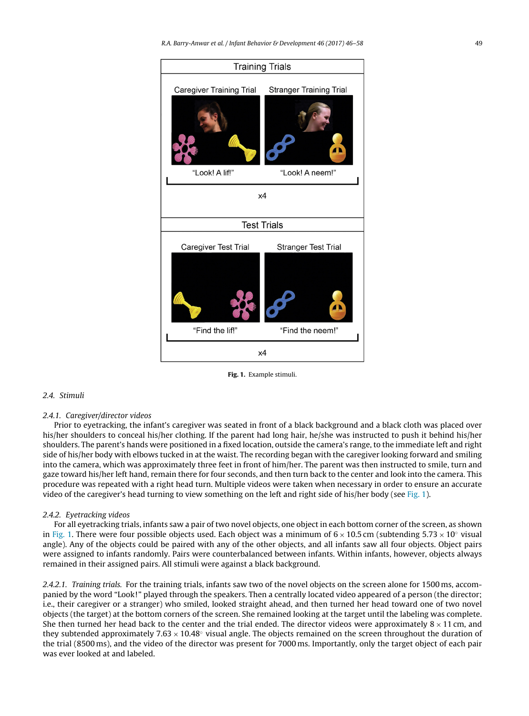<span id="page-3-0"></span>

**Fig. 1.** Example stimuli.

# 2.4. Stimuli

#### 2.4.1. Caregiver/director videos

Prior to eyetracking, the infant's caregiver was seated in front of a black background and a black cloth was placed over his/her shoulders to conceal his/her clothing. If the parent had long hair, he/she was instructed to push it behind his/her shoulders. The parent's hands were positioned in a fixed location, outside the camera's range, to the immediate left and right side of his/her body with elbows tucked in at the waist. The recording began with the caregiver looking forward and smiling into the camera, which was approximately three feet in front of him/her. The parent was then instructed to smile, turn and gaze toward his/her left hand, remain there for four seconds, and then turn back to the center and look into the camera. This procedure was repeated with a right head turn. Multiple videos were taken when necessary in order to ensure an accurate video of the caregiver's head turning to view something on the left and right side of his/her body (see Fig. 1).

#### 2.4.2. Eyetracking videos

For all eyetracking trials, infants saw a pair of two novel objects, one object in each bottom corner of the screen, as shown in Fig. 1. There were four possible objects used. Each object was a minimum of  $6 \times 10.5$  cm (subtending  $5.73 \times 10$ <sup>°</sup> visual angle). Any of the objects could be paired with any of the other objects, and all infants saw all four objects. Object pairs were assigned to infants randomly. Pairs were counterbalanced between infants. Within infants, however, objects always remained in their assigned pairs. All stimuli were against a black background.

2.4.2.1. Training trials. For the training trials, infants saw two of the novel objects on the screen alone for 1500 ms, accompanied by the word "Look!" played through the speakers. Then a centrally located video appeared of a person (the director; i.e., their caregiver or a stranger) who smiled, looked straight ahead, and then turned her head toward one of two novel objects (the target) at the bottom corners of the screen. She remained looking at the target until the labeling was complete. She then turned her head back to the center and the trial ended. The director videos were approximately  $8 \times 11$  cm, and they subtended approximately  $7.63 \times 10.48°$  visual angle. The objects remained on the screen throughout the duration of the trial (8500 ms), and the video of the director was present for 7000 ms. Importantly, only the target object of each pair was ever looked at and labeled.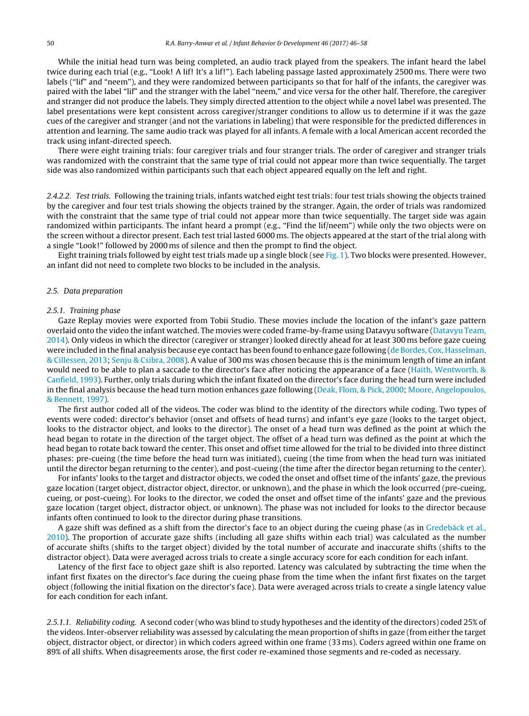While the initial head turn was being completed, an audio track played from the speakers. The infant heard the label twice during each trial (e.g., "Look! A lif! It's a lif!"). Each labeling passage lasted approximately 2500 ms. There were two labels ("lif" and "neem"), and they were randomized between participants so that for half of the infants, the caregiver was paired with the label "lif" and the stranger with the label "neem," and vice versa for the other half. Therefore, the caregiver and stranger did not produce the labels. They simply directed attention to the object while a novel label was presented. The label presentations were kept consistent across caregiver/stranger conditions to allow us to determine if it was the gaze cues of the caregiver and stranger (and not the variations in labeling) that were responsible for the predicted differences in attention and learning. The same audio track was played for all infants. A female with a local American accent recorded the track using infant-directed speech.

There were eight training trials: four caregiver trials and four stranger trials. The order of caregiver and stranger trials was randomized with the constraint that the same type of trial could not appear more than twice sequentially. The target side was also randomized within participants such that each object appeared equally on the left and right.

2.4.2.2. Test trials. Following the training trials, infants watched eight test trials: four test trials showing the objects trained by the caregiver and four test trials showing the objects trained by the stranger. Again, the order of trials was randomized with the constraint that the same type of trial could not appear more than twice sequentially. The target side was again randomized within participants. The infant heard a prompt (e.g., "Find the lif/neem") while only the two objects were on the screen without a director present. Each test trial lasted 6000 ms. The objects appeared at the start of the trial along with a single "Look!" followed by 2000 ms of silence and then the prompt to find the object.

Eight training trials followed by eight test trials made up a single block (see [Fig.](#page-3-0) 1). Two blocks were presented. However, an infant did not need to complete two blocks to be included in the analysis.

# 2.5. Data preparation

#### 2.5.1. Training phase

Gaze Replay movies were exported from Tobii Studio. These movies include the location of the infant's gaze pattern overlaid onto the video the infant watched. The movies were coded frame-by-frame using Datavyu software [\(Datavyu](#page-11-0) [Team,](#page-11-0) [2014\).](#page-11-0) Only videos in which the director (caregiver or stranger) looked directly ahead for at least 300 ms before gaze cueing were included in the final analysis because eye contact has been found to enhance gaze following [\(de](#page-11-0) [Bordes,](#page-11-0) [Cox,](#page-11-0) [Hasselman,](#page-11-0) [&](#page-11-0) [Cillessen,](#page-11-0) [2013;](#page-11-0) [Senju](#page-12-0) [&](#page-12-0) [Csibra,](#page-12-0) [2008\).](#page-12-0) A value of 300 ms was chosen because this is the minimum length of time an infant would need to be able to plan a saccade to the director's face after noticing the appearance of a face ([Haith,](#page-11-0) [Wentworth,](#page-11-0) [&](#page-11-0) [Canfield,](#page-11-0) [1993\).](#page-11-0) Further, only trials during which the infant fixated on the director's face during the head turn were included in the final analysis because the head turn motion enhances gaze following [\(Deak,](#page-11-0) [Flom,](#page-11-0) [&](#page-11-0) [Pick,](#page-11-0) [2000;](#page-11-0) [Moore,](#page-12-0) [Angelopoulos,](#page-12-0) [&](#page-12-0) [Bennett,](#page-12-0) [1997\).](#page-12-0)

The first author coded all of the videos. The coder was blind to the identity of the directors while coding. Two types of events were coded: director's behavior (onset and offsets of head turns) and infant's eye gaze (looks to the target object, looks to the distractor object, and looks to the director). The onset of a head turn was defined as the point at which the head began to rotate in the direction of the target object. The offset of a head turn was defined as the point at which the head began to rotate back toward the center. This onset and offset time allowed for the trial to be divided into three distinct phases: pre-cueing (the time before the head turn was initiated), cueing (the time from when the head turn was initiated until the director began returning to the center), and post-cueing (the time after the director began returning to the center).

For infants' looks to the target and distractor objects, we coded the onset and offset time of the infants' gaze, the previous gaze location (target object, distractor object, director, or unknown), and the phase in which the look occurred (pre-cueing, cueing, or post-cueing). For looks to the director, we coded the onset and offset time of the infants' gaze and the previous gaze location (target object, distractor object, or unknown). The phase was not included for looks to the director because infants often continued to look to the director during phase transitions.

A gaze shift was defined as a shift from the director's face to an object during the cueing phase (as in [Gredebäck](#page-11-0) et [al.,](#page-11-0) [2010\).](#page-11-0) The proportion of accurate gaze shifts (including all gaze shifts within each trial) was calculated as the number of accurate shifts (shifts to the target object) divided by the total number of accurate and inaccurate shifts (shifts to the distractor object). Data were averaged across trials to create a single accuracy score for each condition for each infant.

Latency of the first face to object gaze shift is also reported. Latency was calculated by subtracting the time when the infant first fixates on the director's face during the cueing phase from the time when the infant first fixates on the target object (following the initial fixation on the director's face). Data were averaged across trials to create a single latency value for each condition for each infant.

2.5.1.1. Reliability coding. A second coder (who was blind to study hypotheses and the identity of the directors) coded 25% of the videos. Inter-observer reliability was assessed by calculating the mean proportion of shifts in gaze (from either the target object, distractor object, or director) in which coders agreed within one frame (33 ms). Coders agreed within one frame on 89% of all shifts. When disagreements arose, the first coder re-examined those segments and re-coded as necessary.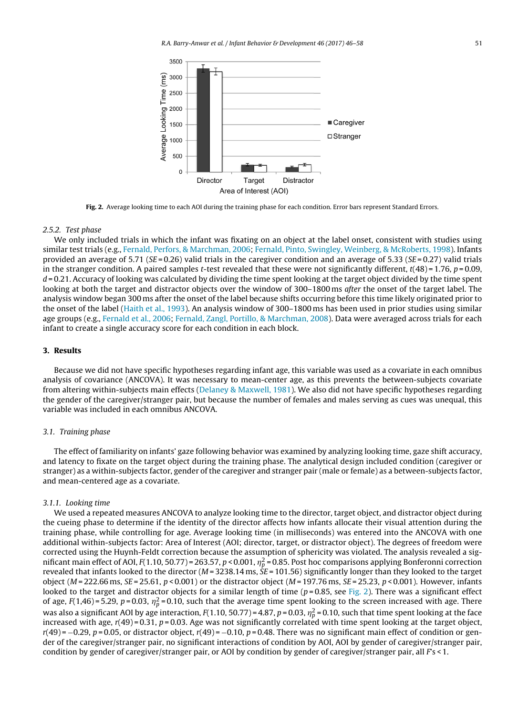

**Fig. 2.** Average looking time to each AOI during the training phase for each condition. Error bars represent Standard Errors.

#### 2.5.2. Test phase

We only included trials in which the infant was fixating on an object at the label onset, consistent with studies using similar test trials (e.g., [Fernald,](#page-11-0) [Perfors,](#page-11-0) [&](#page-11-0) [Marchman,](#page-11-0) [2006;](#page-11-0) [Fernald,](#page-11-0) [Pinto,](#page-11-0) [Swingley,](#page-11-0) [Weinberg,](#page-11-0) [&](#page-11-0) [McRoberts,](#page-11-0) [1998\).](#page-11-0) Infants provided an average of 5.71 ( $SE = 0.26$ ) valid trials in the caregiver condition and an average of 5.33 ( $SE = 0.27$ ) valid trials in the stranger condition. A paired samples t-test revealed that these were not significantly different,  $t(48) = 1.76$ ,  $p = 0.09$ ,  $d = 0.21$ . Accuracy of looking was calculated by dividing the time spent looking at the target object divided by the time spent looking at both the target and distractor objects over the window of 300–1800 ms *after* the onset of the target label. The analysis window began 300 ms after the onset of the label because shifts occurring before this time likely originated prior to the onset of the label ([Haith](#page-11-0) et [al.,](#page-11-0) [1993\).](#page-11-0) An analysis window of 300–1800 ms has been used in prior studies using similar age groups (e.g., [Fernald](#page-11-0) et [al.,](#page-11-0) [2006;](#page-11-0) [Fernald,](#page-11-0) [Zangl,](#page-11-0) [Portillo,](#page-11-0) [&](#page-11-0) [Marchman,](#page-11-0) [2008\).](#page-11-0) Data were averaged across trials for each infant to create a single accuracy score for each condition in each block.

## **3. Results**

Because we did not have specific hypotheses regarding infant age, this variable was used as a covariate in each omnibus analysis of covariance (ANCOVA). It was necessary to mean-center age, as this prevents the between-subjects covariate from altering within-subjects main effects [\(Delaney](#page-11-0) [&](#page-11-0) [Maxwell,](#page-11-0) [1981\).](#page-11-0) We also did not have specific hypotheses regarding the gender of the caregiver/stranger pair, but because the number of females and males serving as cues was unequal, this variable was included in each omnibus ANCOVA.

#### 3.1. Training phase

The effect of familiarity on infants' gaze following behavior was examined by analyzing looking time, gaze shift accuracy, and latency to fixate on the target object during the training phase. The analytical design included condition (caregiver or stranger) as a within-subjects factor, gender of the caregiver and stranger pair (male or female) as a between-subjects factor, and mean-centered age as a covariate.

# 3.1.1. Looking time

We used a repeated measures ANCOVA to analyze looking time to the director, target object, and distractor object during the cueing phase to determine if the identity of the director affects how infants allocate their visual attention during the training phase, while controlling for age. Average looking time (in milliseconds) was entered into the ANCOVA with one additional within-subjects factor: Area of Interest (AOI; director, target, or distractor object). The degrees of freedom were corrected using the Huynh-Feldt correction because the assumption of sphericity was violated. The analysis revealed a significant main effect of AOI, F(1.10, 50.77)=263.57, p<0.001,  $\eta_p^2$ =0.85. Post hoc comparisons applying Bonferonni correction revealed that infants looked to the director ( $M = 3238.14$  ms,  $SE = 101.56$ ) significantly longer than they looked to the target object ( $M = 222.66$  ms,  $SE = 25.61$ ,  $p < 0.001$ ) or the distractor object ( $M = 197.76$  ms,  $SE = 25.23$ ,  $p < 0.001$ ). However, infants looked to the target and distractor objects for a similar length of time ( $p = 0.85$ , see Fig. 2). There was a significant effect of age, F(1,46)=5.29, p=0.03,  $\eta_p^2$ =0.10, such that the average time spent looking to the screen increased with age. There was also a significant AOI by age interaction, F(1.10, 50.77)=4.87, p=0.03,  $\eta_p^2$ =0.10, such that time spent looking at the face increased with age,  $r(49) = 0.31$ ,  $p = 0.03$ . Age was not significantly correlated with time spent looking at the target object,  $r(49) = -0.29$ ,  $p = 0.05$ , or distractor object,  $r(49) = -0.10$ ,  $p = 0.48$ . There was no significant main effect of condition or gender of the caregiver/stranger pair, no significant interactions of condition by AOI, AOI by gender of caregiver/stranger pair, condition by gender of caregiver/stranger pair, or AOI by condition by gender of caregiver/stranger pair, all  $Fs < 1$ .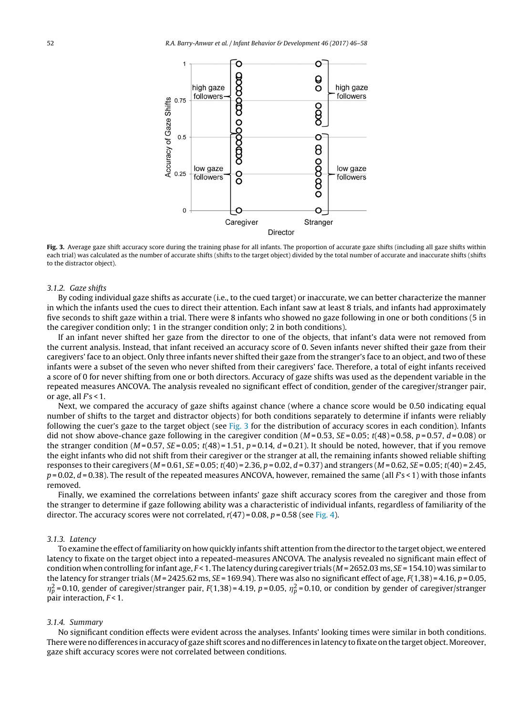<span id="page-6-0"></span>

Fig. 3. Average gaze shift accuracy score during the training phase for all infants. The proportion of accurate gaze shifts (including all gaze shifts within each trial) was calculated as the number of accurate shifts (shifts to the target object) divided by the total number of accurate and inaccurate shifts (shifts to the distractor object).

## 3.1.2. Gaze shifts

By coding individual gaze shifts as accurate (i.e., to the cued target) or inaccurate, we can better characterize the manner in which the infants used the cues to direct their attention. Each infant saw at least 8 trials, and infants had approximately five seconds to shift gaze within a trial. There were 8 infants who showed no gaze following in one or both conditions (5 in the caregiver condition only; 1 in the stranger condition only; 2 in both conditions).

If an infant never shifted her gaze from the director to one of the objects, that infant's data were not removed from the current analysis. Instead, that infant received an accuracy score of 0. Seven infants never shifted their gaze from their caregivers' face to an object. Only three infants never shifted their gaze from the stranger's face to an object, and two of these infants were a subset of the seven who never shifted from their caregivers' face. Therefore, a total of eight infants received a score of 0 for never shifting from one or both directors. Accuracy of gaze shifts was used as the dependent variable in the repeated measures ANCOVA. The analysis revealed no significant effect of condition, gender of the caregiver/stranger pair, or age, all  $Fs < 1$ .

Next, we compared the accuracy of gaze shifts against chance (where a chance score would be 0.50 indicating equal number of shifts to the target and distractor objects) for both conditions separately to determine if infants were reliably following the cuer's gaze to the target object (see Fig. 3 for the distribution of accuracy scores in each condition). Infants did not show above-chance gaze following in the caregiver condition  $(M=0.53, SE=0.05; t(48)=0.58, p=0.57, d=0.08)$  or the stranger condition ( $M = 0.57$ ,  $SE = 0.05$ ;  $t(48) = 1.51$ ,  $p = 0.14$ ,  $d = 0.21$ ). It should be noted, however, that if you remove the eight infants who did not shift from their caregiver or the stranger at all, the remaining infants showed reliable shifting responses to their caregivers  $(M = 0.61, SE = 0.05; t(40) = 2.36, p = 0.02, d = 0.37)$  and strangers  $(M = 0.62, SE = 0.05; t(40) = 2.45,$  $p = 0.02$ ,  $d = 0.38$ ). The result of the repeated measures ANCOVA, however, remained the same (all  $Fs < 1$ ) with those infants removed.

Finally, we examined the correlations between infants' gaze shift accuracy scores from the caregiver and those from the stranger to determine if gaze following ability was a characteristic of individual infants, regardless of familiarity of the director. The accuracy scores were not correlated,  $r(47) = 0.08$ ,  $p = 0.58$  (see [Fig.](#page-7-0) 4).

#### 3.1.3. Latency

To examine the effect offamiliarity on how quickly infants shift attention from the director to the target object, we entered latency to fixate on the target object into a repeated-measures ANCOVA. The analysis revealed no significant main effect of condition when controlling for infant age,  $F$  < 1. The latency during caregiver trials ( $M$  = 2652.03 ms,  $SE$  = 154.10) was similar to the latency for stranger trials ( $M = 2425.62$  ms,  $SE = 169.94$ ). There was also no significant effect of age,  $F(1,38) = 4.16$ ,  $p = 0.05$ ,  $\eta_p^2$ =0.10, gender of caregiver/stranger pair, F(1,38)=4.19, p=0.05,  $\eta_p^2$ =0.10, or condition by gender of caregiver/stranger pair interaction,  $F < 1$ .

#### 3.1.4. Summary

No significant condition effects were evident across the analyses. Infants' looking times were similar in both conditions. There were no differences in accuracy of gaze shift scores and no differences in latency to fixate on the target object. Moreover, gaze shift accuracy scores were not correlated between conditions.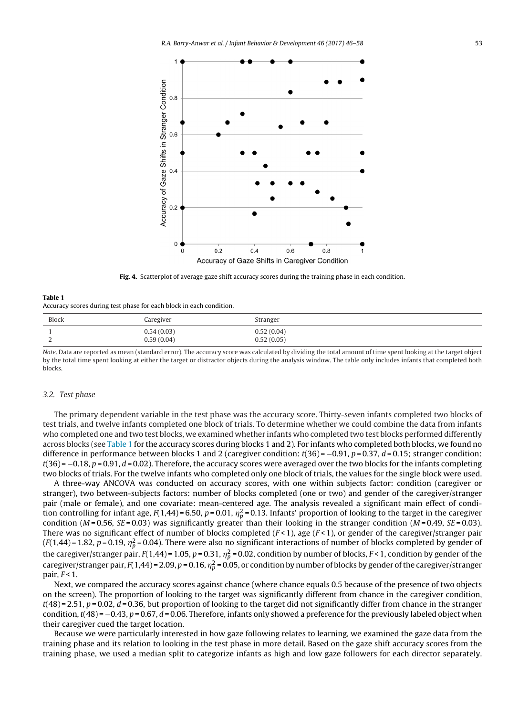<span id="page-7-0"></span>

**Fig. 4.** Scatterplot of average gaze shift accuracy scores during the training phase in each condition.

| Table 1                                                             |  |
|---------------------------------------------------------------------|--|
| Accuracy scores during test phase for each block in each condition. |  |

| <b>Block</b> | Caregiver                | Stranger                 |
|--------------|--------------------------|--------------------------|
| ∼            | 0.54(0.03)<br>0.59(0.04) | 0.52(0.04)<br>0.52(0.05) |

Note. Data are reported as mean (standard error). The accuracy score was calculated by dividing the total amount of time spent looking at the target object by the total time spent looking at either the target or distractor objects during the analysis window. The table only includes infants that completed both blocks.

## 3.2. Test phase

The primary dependent variable in the test phase was the accuracy score. Thirty-seven infants completed two blocks of test trials, and twelve infants completed one block of trials. To determine whether we could combine the data from infants who completed one and two test blocks, we examined whether infants who completed two test blocks performed differently across blocks (see Table 1 for the accuracy scores during blocks 1 and 2). For infants who completed both blocks, we found no difference in performance between blocks 1 and 2 (caregiver condition:  $t(36) = -0.91$ ,  $p = 0.37$ ,  $d = 0.15$ ; stranger condition:  $t(36) = -0.18$ ,  $p = 0.91$ ,  $d = 0.02$ ). Therefore, the accuracy scores were averaged over the two blocks for the infants completing two blocks of trials. For the twelve infants who completed only one block of trials, the values for the single block were used.

A three-way ANCOVA was conducted on accuracy scores, with one within subjects factor: condition (caregiver or stranger), two between-subjects factors: number of blocks completed (one or two) and gender of the caregiver/stranger pair (male or female), and one covariate: mean-centered age. The analysis revealed a significant main effect of condition controlling for infant age, F(1,44)=6.50, p=0.01,  $\eta_p^2$ =0.13. Infants' proportion of looking to the target in the caregiver condition ( $M = 0.56$ ,  $SE = 0.03$ ) was significantly greater than their looking in the stranger condition ( $M = 0.49$ ,  $SE = 0.03$ ). There was no significant effect of number of blocks completed  $(F<1)$ , age  $(F<1)$ , or gender of the caregiver/stranger pair (F(1,44)=1.82, p=0.19,  $\eta_p^2$ =0.04). There were also no significant interactions of number of blocks completed by gender of the caregiver/stranger pair, F(1,44) = 1.05, p = 0.31,  $\eta_p^2$  = 0.02, condition by number of blocks, F<1, condition by gender of the caregiver/stranger pair, F(1,44) = 2.09, p = 0.16,  $\eta_p^2$  = 0.05, or condition by number of blocks by gender of the caregiver/stranger pair,  $F < 1$ .

Next, we compared the accuracy scores against chance (where chance equals 0.5 because of the presence of two objects on the screen). The proportion of looking to the target was significantly different from chance in the caregiver condition,  $t(48) = 2.51$ ,  $p = 0.02$ ,  $d = 0.36$ , but proportion of looking to the target did not significantly differ from chance in the stranger condition,  $t(48) = -0.43$ ,  $p = 0.67$ ,  $d = 0.06$ . Therefore, infants only showed a preference for the previously labeled object when their caregiver cued the target location.

Because we were particularly interested in how gaze following relates to learning, we examined the gaze data from the training phase and its relation to looking in the test phase in more detail. Based on the gaze shift accuracy scores from the training phase, we used a median split to categorize infants as high and low gaze followers for each director separately.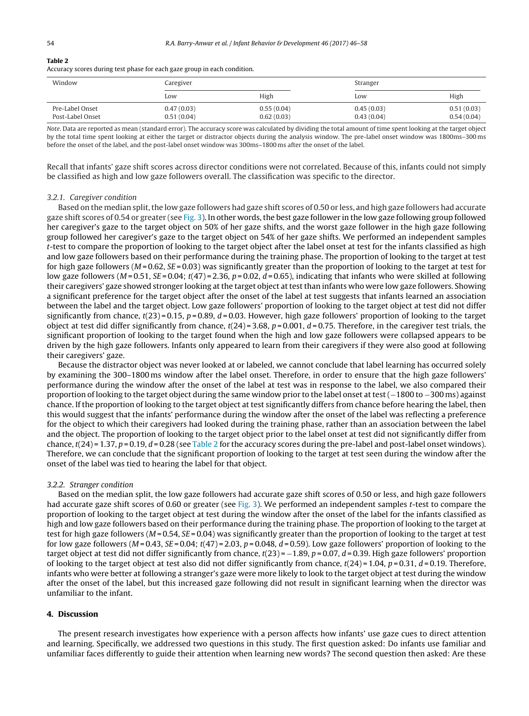#### **Table 2**

Accuracy scores during test phase for each gaze group in each condition.

| Window                              | Caregiver                |                          | Stranger                 |                          |
|-------------------------------------|--------------------------|--------------------------|--------------------------|--------------------------|
|                                     | Low                      | High                     | Low                      | High                     |
| Pre-Label Onset<br>Post-Label Onset | 0.47(0.03)<br>0.51(0.04) | 0.55(0.04)<br>0.62(0.03) | 0.45(0.03)<br>0.43(0.04) | 0.51(0.03)<br>0.54(0.04) |

Note. Data are reported as mean (standard error). The accuracy score was calculated by dividing the total amount of time spent looking at the target object by the total time spent looking at either the target or distractor objects during the analysis window. The pre-label onset window was 1800ms–300 ms before the onset of the label, and the post-label onset window was 300ms–1800 ms after the onset of the label.

Recall that infants' gaze shift scores across director conditions were not correlated. Because of this, infants could not simply be classified as high and low gaze followers overall. The classification was specific to the director.

#### 3.2.1. Caregiver condition

Based on the median split, the low gaze followers had gaze shift scores of 0.50 or less, and high gaze followers had accurate gaze shift scores of 0.54 or greater (see [Fig.](#page-6-0) 3). In other words, the best gaze follower in the low gaze following group followed her caregiver's gaze to the target object on 50% of her gaze shifts, and the worst gaze follower in the high gaze following group followed her caregiver's gaze to the target object on 54% of her gaze shifts. We performed an independent samples t-test to compare the proportion of looking to the target object after the label onset at test for the infants classified as high and low gaze followers based on their performance during the training phase. The proportion of looking to the target at test for high gaze followers ( $M = 0.62$ ,  $SE = 0.03$ ) was significantly greater than the proportion of looking to the target at test for low gaze followers ( $M = 0.51$ ,  $SE = 0.04$ ;  $t(47) = 2.36$ ,  $p = 0.02$ ,  $d = 0.65$ ), indicating that infants who were skilled at following their caregivers' gaze showed stronger looking at the target object at test than infants who were low gaze followers. Showing a significant preference for the target object after the onset of the label at test suggests that infants learned an association between the label and the target object. Low gaze followers' proportion of looking to the target object at test did not differ significantly from chance,  $t(23) = 0.15$ ,  $p = 0.89$ ,  $d = 0.03$ . However, high gaze followers' proportion of looking to the target object at test did differ significantly from chance,  $t(24) = 3.68$ ,  $p = 0.001$ ,  $d = 0.75$ . Therefore, in the caregiver test trials, the significant proportion of looking to the target found when the high and low gaze followers were collapsed appears to be driven by the high gaze followers. Infants only appeared to learn from their caregivers if they were also good at following their caregivers' gaze.

Because the distractor object was never looked at or labeled, we cannot conclude that label learning has occurred solely by examining the 300–1800 ms window after the label onset. Therefore, in order to ensure that the high gaze followers' performance during the window after the onset of the label at test was in response to the label, we also compared their proportion of looking to the target object during the same window prior to the label onset at test (−1800 to −300 ms) against chance. If the proportion of looking to the target object at test significantly differs from chance before hearing the label, then this would suggest that the infants' performance during the window after the onset of the label was reflecting a preference for the object to which their caregivers had looked during the training phase, rather than an association between the label and the object. The proportion of looking to the target object prior to the label onset at test did not significantly differ from chance,  $t(24) = 1.37$ ,  $p = 0.19$ ,  $d = 0.28$  (see Table 2 for the accuracy scores during the pre-label and post-label onset windows). Therefore, we can conclude that the significant proportion of looking to the target at test seen during the window after the onset of the label was tied to hearing the label for that object.

#### 3.2.2. Stranger condition

Based on the median split, the low gaze followers had accurate gaze shift scores of 0.50 or less, and high gaze followers had accurate gaze shift scores of 0.60 or greater (see [Fig.](#page-6-0) 3). We performed an independent samples t-test to compare the proportion of looking to the target object at test during the window after the onset of the label for the infants classified as high and low gaze followers based on their performance during the training phase. The proportion of looking to the target at test for high gaze followers ( $M = 0.54$ ,  $SE = 0.04$ ) was significantly greater than the proportion of looking to the target at test for low gaze followers ( $M = 0.43$ ,  $SE = 0.04$ ;  $t(47) = 2.03$ ,  $p = 0.048$ ,  $d = 0.59$ ). Low gaze followers' proportion of looking to the target object at test did not differ significantly from chance,  $t(23) = -1.89$ ,  $p = 0.07$ ,  $d = 0.39$ . High gaze followers' proportion of looking to the target object at test also did not differ significantly from chance,  $t(24) = 1.04$ ,  $p = 0.31$ ,  $d = 0.19$ . Therefore, infants who were better at following a stranger's gaze were more likely to look to the target object at test during the window after the onset of the label, but this increased gaze following did not result in significant learning when the director was unfamiliar to the infant.

# **4. Discussion**

The present research investigates how experience with a person affects how infants' use gaze cues to direct attention and learning. Specifically, we addressed two questions in this study. The first question asked: Do infants use familiar and unfamiliar faces differently to guide their attention when learning new words? The second question then asked: Are these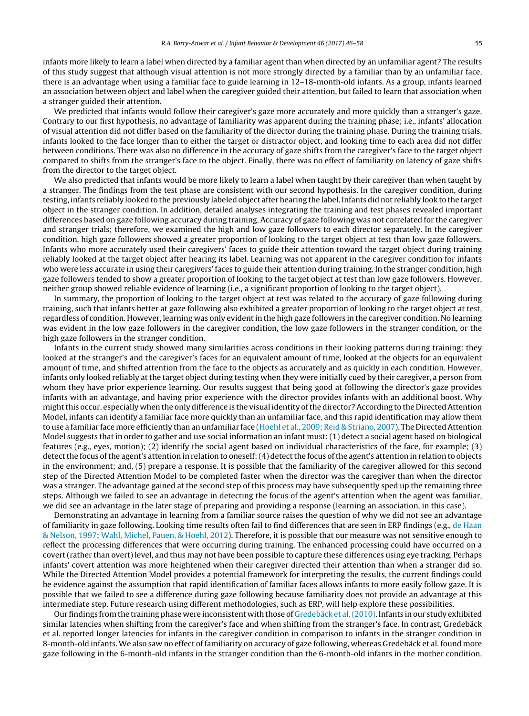infants more likely to learn a label when directed by a familiar agent than when directed by an unfamiliar agent? The results of this study suggest that although visual attention is not more strongly directed by a familiar than by an unfamiliar face, there is an advantage when using a familiar face to guide learning in 12–18-month-old infants. As a group, infants learned an association between object and label when the caregiver guided their attention, but failed to learn that association when a stranger guided their attention.

We predicted that infants would follow their caregiver's gaze more accurately and more quickly than a stranger's gaze. Contrary to our first hypothesis, no advantage of familiarity was apparent during the training phase; i.e., infants' allocation of visual attention did not differ based on the familiarity of the director during the training phase. During the training trials, infants looked to the face longer than to either the target or distractor object, and looking time to each area did not differ between conditions. There was also no difference in the accuracy of gaze shifts from the caregiver's face to the target object compared to shifts from the stranger's face to the object. Finally, there was no effect of familiarity on latency of gaze shifts from the director to the target object.

We also predicted that infants would be more likely to learn a label when taught by their caregiver than when taught by a stranger. The findings from the test phase are consistent with our second hypothesis. In the caregiver condition, during testing, infants reliably looked to the previously labeled object after hearing the label. Infants did not reliably look to the target object in the stranger condition. In addition, detailed analyses integrating the training and test phases revealed important differences based on gaze following accuracy during training. Accuracy of gaze following was not correlated for the caregiver and stranger trials; therefore, we examined the high and low gaze followers to each director separately. In the caregiver condition, high gaze followers showed a greater proportion of looking to the target object at test than low gaze followers. Infants who more accurately used their caregivers' faces to guide their attention toward the target object during training reliably looked at the target object after hearing its label. Learning was not apparent in the caregiver condition for infants who were less accurate in using their caregivers' faces to guide their attention during training. In the stranger condition, high gaze followers tended to show a greater proportion of looking to the target object at test than low gaze followers. However, neither group showed reliable evidence of learning (i.e., a significant proportion of looking to the target object).

In summary, the proportion of looking to the target object at test was related to the accuracy of gaze following during training, such that infants better at gaze following also exhibited a greater proportion of looking to the target object at test, regardless of condition. However, learning was only evidentin the high gaze followers in the caregiver condition. No learning was evident in the low gaze followers in the caregiver condition, the low gaze followers in the stranger condition, or the high gaze followers in the stranger condition.

Infants in the current study showed many similarities across conditions in their looking patterns during training: they looked at the stranger's and the caregiver's faces for an equivalent amount of time, looked at the objects for an equivalent amount of time, and shifted attention from the face to the objects as accurately and as quickly in each condition. However, infants only looked reliably at the target object during testing when they were initially cued by their caregiver, a person from whom they have prior experience learning. Our results suggest that being good at following the director's gaze provides infants with an advantage, and having prior experience with the director provides infants with an additional boost. Why mightthis occur, especially when the only difference is the visual identity ofthe director? According to the Directed Attention Model, infants can identify a familiar face more quickly than an unfamiliar face, and this rapid identification may allow them to use a familiar face more efficiently than an unfamiliar face ([Hoehl](#page-11-0) et [al.,](#page-11-0) [2009;](#page-11-0) [Reid](#page-11-0) [&](#page-11-0) [Striano,](#page-11-0) [2007\).](#page-11-0) The Directed Attention Model suggests that in order to gather and use social information an infant must: (1) detect a social agent based on biological features (e.g., eyes, motion); (2) identify the social agent based on individual characteristics of the face, for example; (3) detect the focus of the agent's attention in relation to oneself; (4) detect the focus of the agent's attention in relation to objects in the environment; and, (5) prepare a response. It is possible that the familiarity of the caregiver allowed for this second step of the Directed Attention Model to be completed faster when the director was the caregiver than when the director was a stranger. The advantage gained at the second step of this process may have subsequently sped up the remaining three steps. Although we failed to see an advantage in detecting the focus of the agent's attention when the agent was familiar, we did see an advantage in the later stage of preparing and providing a response (learning an association, in this case).

Demonstrating an advantage in learning from a familiar source raises the question of why we did not see an advantage of familiarity in gaze following. Looking time results often fail to find differences that are seen in ERP findings (e.g., [de](#page-11-0) [Haan](#page-11-0) [&](#page-11-0) [Nelson,](#page-11-0) [1997;](#page-11-0) [Wahl,](#page-12-0) [Michel,](#page-12-0) [Pauen,](#page-12-0) [&](#page-12-0) [Hoehl,](#page-12-0) [2012\).](#page-12-0) Therefore, it is possible that our measure was not sensitive enough to reflect the processing differences that were occurring during training. The enhanced processing could have occurred on a covert (rather than overt) level, and thus may not have been possible to capture these differences using eye tracking. Perhaps infants' covert attention was more heightened when their caregiver directed their attention than when a stranger did so. While the Directed Attention Model provides a potential framework for interpreting the results, the current findings could be evidence against the assumption that rapid identification of familiar faces allows infants to more easily follow gaze. It is possible that we failed to see a difference during gaze following because familiarity does not provide an advantage at this intermediate step. Future research using different methodologies, such as ERP, will help explore these possibilities.

Our findings from the training phase were inconsistent with those of [Gredebäck](#page-11-0) et [al.\(2010\).](#page-11-0) Infants in our study exhibited similar latencies when shifting from the caregiver's face and when shifting from the stranger's face. In contrast, Gredebäck et al. reported longer latencies for infants in the caregiver condition in comparison to infants in the stranger condition in 8-month-old infants. We also saw no effect of familiarity on accuracy of gaze following, whereas Gredebäck et al. found more gaze following in the 6-month-old infants in the stranger condition than the 6-month-old infants in the mother condition.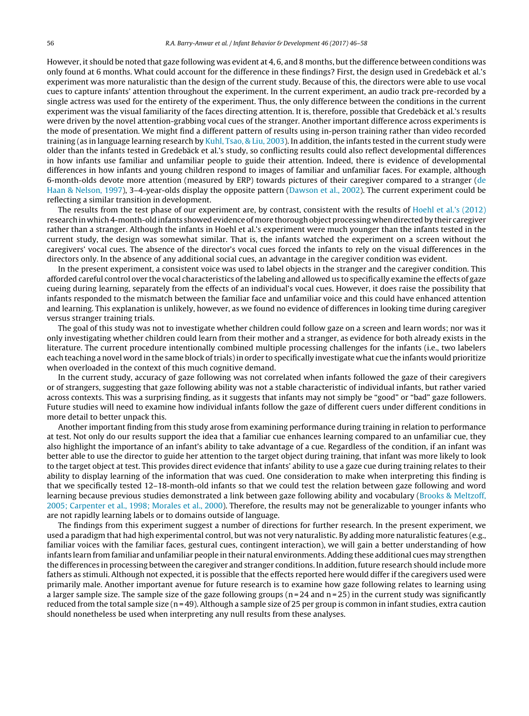However, it should be noted that gaze following was evident at 4, 6, and 8 months, butthe difference between conditions was only found at 6 months. What could account for the difference in these findings? First, the design used in Gredebäck et al.'s experiment was more naturalistic than the design of the current study. Because of this, the directors were able to use vocal cues to capture infants' attention throughout the experiment. In the current experiment, an audio track pre-recorded by a single actress was used for the entirety of the experiment. Thus, the only difference between the conditions in the current experiment was the visual familiarity of the faces directing attention. It is, therefore, possible that Gredebäck et al.'s results were driven by the novel attention-grabbing vocal cues of the stranger. Another important difference across experiments is the mode of presentation. We might find a different pattern of results using in-person training rather than video recorded training (as in language learning research by [Kuhl,](#page-12-0) [Tsao,](#page-12-0) [&](#page-12-0) [Liu,](#page-12-0) [2003\).](#page-12-0) In addition, the infants tested in the current study were older than the infants tested in Gredebäck et al.'s study, so conflicting results could also reflect developmental differences in how infants use familiar and unfamiliar people to guide their attention. Indeed, there is evidence of developmental differences in how infants and young children respond to images of familiar and unfamiliar faces. For example, although 6-month-olds devote more attention (measured by ERP) towards pictures of their caregiver compared to a stranger [\(de](#page-11-0) [Haan](#page-11-0) [&](#page-11-0) [Nelson,](#page-11-0) [1997\),](#page-11-0) 3–4-year-olds display the opposite pattern ([Dawson](#page-11-0) et [al.,](#page-11-0) [2002\).](#page-11-0) The current experiment could be reflecting a similar transition in development.

The results from the test phase of our experiment are, by contrast, consistent with the results of [Hoehl](#page-12-0) et [al.'s](#page-12-0) [\(2012\)](#page-12-0) research in which 4-month-old infants showed evidence of more thorough object processing when directed by their caregiver rather than a stranger. Although the infants in Hoehl et al.'s experiment were much younger than the infants tested in the current study, the design was somewhat similar. That is, the infants watched the experiment on a screen without the caregivers' vocal cues. The absence of the director's vocal cues forced the infants to rely on the visual differences in the directors only. In the absence of any additional social cues, an advantage in the caregiver condition was evident.

In the present experiment, a consistent voice was used to label objects in the stranger and the caregiver condition. This afforded careful control over the vocal characteristics ofthe labeling and allowed us to specifically examine the effects of gaze cueing during learning, separately from the effects of an individual's vocal cues. However, it does raise the possibility that infants responded to the mismatch between the familiar face and unfamiliar voice and this could have enhanced attention and learning. This explanation is unlikely, however, as we found no evidence of differences in looking time during caregiver versus stranger training trials.

The goal of this study was not to investigate whether children could follow gaze on a screen and learn words; nor was it only investigating whether children could learn from their mother and a stranger, as evidence for both already exists in the literature. The current procedure intentionally combined multiple processing challenges for the infants (i.e., two labelers each teaching a novel word in the same block oftrials)in order to specifically investigate what cue the infants would prioritize when overloaded in the context of this much cognitive demand.

In the current study, accuracy of gaze following was not correlated when infants followed the gaze of their caregivers or of strangers, suggesting that gaze following ability was not a stable characteristic of individual infants, but rather varied across contexts. This was a surprising finding, as it suggests that infants may not simply be "good" or "bad" gaze followers. Future studies will need to examine how individual infants follow the gaze of different cuers under different conditions in more detail to better unpack this.

Another important finding from this study arose from examining performance during training in relation to performance at test. Not only do our results support the idea that a familiar cue enhances learning compared to an unfamiliar cue, they also highlight the importance of an infant's ability to take advantage of a cue. Regardless of the condition, if an infant was better able to use the director to guide her attention to the target object during training, that infant was more likely to look to the target object at test. This provides direct evidence that infants' ability to use a gaze cue during training relates to their ability to display learning of the information that was cued. One consideration to make when interpreting this finding is that we specifically tested 12–18-month-old infants so that we could test the relation between gaze following and word learning because previous studies demonstrated a link between gaze following ability and vocabulary ([Brooks](#page-11-0) [&](#page-11-0) [Meltzoff,](#page-11-0) [2005;](#page-11-0) [Carpenter](#page-11-0) et [al.,](#page-11-0) [1998;](#page-11-0) [Morales](#page-11-0) et [al.,](#page-11-0) [2000\).](#page-11-0) Therefore, the results may not be generalizable to younger infants who are not rapidly learning labels or to domains outside of language.

The findings from this experiment suggest a number of directions for further research. In the present experiment, we used a paradigm that had high experimental control, but was not very naturalistic. By adding more naturalistic features (e.g., familiar voices with the familiar faces, gestural cues, contingent interaction), we will gain a better understanding of how infants learn from familiar and unfamiliar people in their natural environments.Adding these additional cues may strengthen the differences in processing between the caregiver and stranger conditions. In addition, future research should include more fathers as stimuli. Although not expected, it is possible that the effects reported here would differ if the caregivers used were primarily male. Another important avenue for future research is to examine how gaze following relates to learning using a larger sample size. The sample size of the gaze following groups ( $n = 24$  and  $n = 25$ ) in the current study was significantly reduced from the total sample size ( $n = 49$ ). Although a sample size of 25 per group is common in infant studies, extra caution should nonetheless be used when interpreting any null results from these analyses.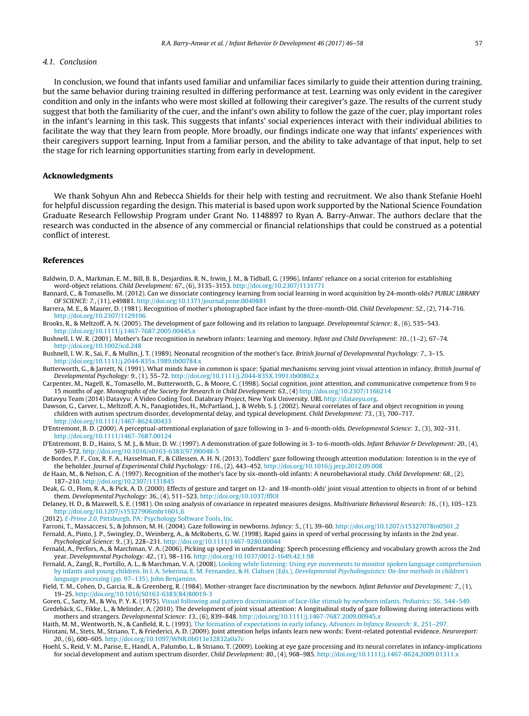## <span id="page-11-0"></span>4.1. Conclusion

In conclusion, we found that infants used familiar and unfamiliar faces similarly to guide their attention during training, but the same behavior during training resulted in differing performance at test. Learning was only evident in the caregiver condition and only in the infants who were most skilled at following their caregiver's gaze. The results of the current study suggest that both the familiarity of the cuer, and the infant's own ability to follow the gaze of the cuer, play important roles in the infant's learning in this task. This suggests that infants' social experiences interact with their individual abilities to facilitate the way that they learn from people. More broadly, our findings indicate one way that infants' experiences with their caregivers support learning. Input from a familiar person, and the ability to take advantage of that input, help to set the stage for rich learning opportunities starting from early in development.

## **Acknowledgments**

We thank Sohyun Ahn and Rebecca Shields for their help with testing and recruitment. We also thank Stefanie Hoehl for helpful discussion regarding the design. This material is based upon work supported by the National Science Foundation Graduate Research Fellowship Program under Grant No. 1148897 to Ryan A. Barry-Anwar. The authors declare that the research was conducted in the absence of any commercial or financial relationships that could be construed as a potential conflict of interest.

## **References**

- Baldwin, D. A., Markman, E. M., Bill, B. B., Desjardins, R. N., Irwin, J. M., & Tidball, G. (1996). Infants' reliance on a social criterion for establishing word-object relations. Child Development: 67., (6), 3135–3153. <http://doi.org/10.2307/1131771>
- Bannard, C., & Tomasello, M. (2012). Can we dissociate contingency learning from social learning in word acquisition by 24-month-olds? PUBLIC LIBRARY OF SCIENCE: 7., (11), e49881. <http://doi.org/10.1371/journal.pone.0049881>
- Barrera, M. E., & Maurer, D. (1981). Recognition of mother's photographed face infant by the three-month-Old. Child Development: 52., (2), 714–716. <http://doi.org/10.2307/1129196>
- Brooks, R., & Meltzoff, A. N. (2005). The development of gaze following and its relation to language. Developmental Science: 8., (6), 535–543. <http://doi.org/10.1111/j.1467-7687.2005.00445.x>
- Bushnell, I. W. R. (2001). Mother's face recognition in newborn infants: Learning and memory. Infant and Child Development: 10., (1–2), 67–74. <http://doi.org/10.1002/icd.248>
- Bushnell, I. W. R., Sai, F., & Mullin, J. T. (1989). Neonatal recognition of the mother's face. British Journal of Developmental Psychology: 7., 3–15. <http://doi.org/10.1111/j.2044-835x.1989.tb00784.x>
- Butterworth, G., & Jarrett, N. (1991). What minds have in common is space: Spatial mechanisms serving joint visual attention in infancy. British Journal of Developmental Psychology: 9., (1), 55-72. <http://doi.org/10.1111/j.2044-835X.1991.tb00862.x>
- Carpenter, M., Nagell, K., Tomasello, M., Butterworth, G., & Moore, C. (1998). Social cognition, joint attention, and communicative competence from 9 to 15 months of age. Monographs of the Society for Research in Child Development: 63., (4) <http://doi.org/10.2307/1166214>
- Datavyu Team (2014) Datavyu: A Video Coding Tool. Databrary Project, New York University. URL <http://datavyu.org>. Dawson, G., Carver, L., Meltzoff, A. N., Panagiotides, H., McPartland, J., & Webb, S. J. (2002). Neural correlates of face and object recognition in young children with autism spectrum disorder, developmental delay, and typical development. Child Development: 73., (3), 700–717. <http://doi.org/10.1111/1467-8624.00433>
- D'Entremont, B. D. (2000). A perceptual-attentional explanation of gaze following in 3- and 6-month-olds. Developmental Science: 3., (3), 302–311. <http://doi.org/10.1111/1467-7687.00124>
- D'Entremont, B. D., Hains, S. M. J., & Muir, D. W. (1997). A demonstration of gaze following in 3- to 6-month-olds. Infant Behavior & Development: 20., (4), 569–572. [http://doi.org/10.1016/s0163-6383\(97\)90048-5](http://doi.org/10.1016/s0163-6383(97)90048-5)
- de Bordes, P. F., Cox, R. F. A., Hasselman, F., & Cillessen, A. H. N. (2013). Toddlers' gaze following through attention modulation: Intention is in the eye of the beholder. Journal of Experimental Child Psychology: 116., (2), 443–452. <http://doi.org/10.1016/j.jecp.2012.09.008>
- de Haan, M., & Nelson, C. A. (1997). Recognition of the mother's face by six-month-old infants: A neurobehavioral study. Child Development: 68., (2), 187–210. <http://doi.org/10.2307/1131845>
- Deak, G. O., Flom, R. A., & Pick, A. D. (2000). Effects of gesture and target on 12- and 18-month-olds' joint visual attention to objects in front of or behind them. Developmental Psychology: 36., (4), 511-523. <http://doi.org/10.1037/fflOI>
- Delaney, H. D., & Maxwell, S. E. (1981). On using analysis of covariance in repeated measures designs. Multivariate Behavioral Research: 16., (1), 105–123. [http://doi.org/10.1207/s15327906mbr1601](http://doi.org/10.1207/s15327906mbr1601_6) 6
- (2012). [E-Prime](http://refhub.elsevier.com/S0163-6383(16)30122-9/sbref0085) [2.0](http://refhub.elsevier.com/S0163-6383(16)30122-9/sbref0085). [Pittsburgh,](http://refhub.elsevier.com/S0163-6383(16)30122-9/sbref0085) [PA:](http://refhub.elsevier.com/S0163-6383(16)30122-9/sbref0085) [Psychology](http://refhub.elsevier.com/S0163-6383(16)30122-9/sbref0085) [Software](http://refhub.elsevier.com/S0163-6383(16)30122-9/sbref0085) [Tools,](http://refhub.elsevier.com/S0163-6383(16)30122-9/sbref0085) [Inc.](http://refhub.elsevier.com/S0163-6383(16)30122-9/sbref0085)
- Farroni, T., Massaccesi, S., & Johnson, M. H. (2004). Gaze following in newborns. Infancy: 5., (1), 39–60. [http://doi.org/10.1207/s15327078in0501](http://doi.org/10.1207/s15327078in0501_2) 2 Fernald, A., Pinto, J. P., Swingley, D., Weinberg, A., & McRoberts, G. W. (1998). Rapid gains in speed of verbal processing by infants in the 2nd year.
	- Psychological Science: 9., (3), 228–231. <http://doi.org/10.1111/1467-9280.00044>
- Fernald, A., Perfors, A., & Marchman, V. A. (2006). Picking up speed in understanding: Speech processing efficiency and vocabulary growth across the 2nd year. Developmental Psychology: 42., (1), 98–116. <http://doi.org/10.1037/0012-1649.42.1.98>
- Fernald, A., Zangl, R., Portillo, A. L., & Marchman, V. A. (2008). [Looking](http://refhub.elsevier.com/S0163-6383(16)30122-9/sbref0105) [while](http://refhub.elsevier.com/S0163-6383(16)30122-9/sbref0105) [listening:](http://refhub.elsevier.com/S0163-6383(16)30122-9/sbref0105) [Using](http://refhub.elsevier.com/S0163-6383(16)30122-9/sbref0105) [eye](http://refhub.elsevier.com/S0163-6383(16)30122-9/sbref0105) [movements](http://refhub.elsevier.com/S0163-6383(16)30122-9/sbref0105) [to](http://refhub.elsevier.com/S0163-6383(16)30122-9/sbref0105) [monitor](http://refhub.elsevier.com/S0163-6383(16)30122-9/sbref0105) [spoken](http://refhub.elsevier.com/S0163-6383(16)30122-9/sbref0105) [language](http://refhub.elsevier.com/S0163-6383(16)30122-9/sbref0105) [comprehension](http://refhub.elsevier.com/S0163-6383(16)30122-9/sbref0105) [by](http://refhub.elsevier.com/S0163-6383(16)30122-9/sbref0105) [infants](http://refhub.elsevier.com/S0163-6383(16)30122-9/sbref0105) [and](http://refhub.elsevier.com/S0163-6383(16)30122-9/sbref0105) [young](http://refhub.elsevier.com/S0163-6383(16)30122-9/sbref0105) [children.](http://refhub.elsevier.com/S0163-6383(16)30122-9/sbref0105) [In](http://refhub.elsevier.com/S0163-6383(16)30122-9/sbref0105) [I.](http://refhub.elsevier.com/S0163-6383(16)30122-9/sbref0105) [A.](http://refhub.elsevier.com/S0163-6383(16)30122-9/sbref0105) [Sekerina,](http://refhub.elsevier.com/S0163-6383(16)30122-9/sbref0105) [E.](http://refhub.elsevier.com/S0163-6383(16)30122-9/sbref0105) [M.](http://refhub.elsevier.com/S0163-6383(16)30122-9/sbref0105) [Fernandez,](http://refhub.elsevier.com/S0163-6383(16)30122-9/sbref0105) [&](http://refhub.elsevier.com/S0163-6383(16)30122-9/sbref0105) [H.](http://refhub.elsevier.com/S0163-6383(16)30122-9/sbref0105) [Clahsen](http://refhub.elsevier.com/S0163-6383(16)30122-9/sbref0105) [\(Eds.\),](http://refhub.elsevier.com/S0163-6383(16)30122-9/sbref0105) [Developmental](http://refhub.elsevier.com/S0163-6383(16)30122-9/sbref0105) [Psycholinguistics:](http://refhub.elsevier.com/S0163-6383(16)30122-9/sbref0105) [On-line](http://refhub.elsevier.com/S0163-6383(16)30122-9/sbref0105) [methods](http://refhub.elsevier.com/S0163-6383(16)30122-9/sbref0105) [in](http://refhub.elsevier.com/S0163-6383(16)30122-9/sbref0105) [children's](http://refhub.elsevier.com/S0163-6383(16)30122-9/sbref0105) [language](http://refhub.elsevier.com/S0163-6383(16)30122-9/sbref0105) [processing](http://refhub.elsevier.com/S0163-6383(16)30122-9/sbref0105) [\(pp.](http://refhub.elsevier.com/S0163-6383(16)30122-9/sbref0105) [97](http://refhub.elsevier.com/S0163-6383(16)30122-9/sbref0105)–[135\).](http://refhub.elsevier.com/S0163-6383(16)30122-9/sbref0105) [John](http://refhub.elsevier.com/S0163-6383(16)30122-9/sbref0105) [Benjamins.](http://refhub.elsevier.com/S0163-6383(16)30122-9/sbref0105)
- Field, T. M., Cohen, D., Garcia, R., & Greenberg, R. (1984). Mother-stranger face discrimination by the newborn. Infant Behavior and Development: 7., (1), 19–25. [http://doi.org/10.1016/S0163-6383\(84\)80019-3](http://doi.org/10.1016/S0163-6383(84)80019-3)

Goren, C., Sarty, M., & Wu, P. Y. K. (1975). [Visual](http://refhub.elsevier.com/S0163-6383(16)30122-9/sbref0115) [following](http://refhub.elsevier.com/S0163-6383(16)30122-9/sbref0115) [and](http://refhub.elsevier.com/S0163-6383(16)30122-9/sbref0115) [pattern](http://refhub.elsevier.com/S0163-6383(16)30122-9/sbref0115) [discrimination](http://refhub.elsevier.com/S0163-6383(16)30122-9/sbref0115) [of](http://refhub.elsevier.com/S0163-6383(16)30122-9/sbref0115) [face-like](http://refhub.elsevier.com/S0163-6383(16)30122-9/sbref0115) [stimuli](http://refhub.elsevier.com/S0163-6383(16)30122-9/sbref0115) [by](http://refhub.elsevier.com/S0163-6383(16)30122-9/sbref0115) [newborn](http://refhub.elsevier.com/S0163-6383(16)30122-9/sbref0115) [infants.](http://refhub.elsevier.com/S0163-6383(16)30122-9/sbref0115) [Pediatrics:](http://refhub.elsevier.com/S0163-6383(16)30122-9/sbref0115) [56.](http://refhub.elsevier.com/S0163-6383(16)30122-9/sbref0115)[,](http://refhub.elsevier.com/S0163-6383(16)30122-9/sbref0115) [544–549.](http://refhub.elsevier.com/S0163-6383(16)30122-9/sbref0115) Gredebäck, G., Fikke, L., & Melinder, A. (2010). The development of joint visual attention: A longitudinal study of gaze following during interactions with mothers and strangers. Developmental Science: 13., (6), 839–848. <http://doi.org/10.1111/j.1467-7687.2009.00945.x>

- Haith, M. M., Wentworth, N., & Canfield, R. L. (1993). [The](http://refhub.elsevier.com/S0163-6383(16)30122-9/sbref0125) [formation](http://refhub.elsevier.com/S0163-6383(16)30122-9/sbref0125) [of](http://refhub.elsevier.com/S0163-6383(16)30122-9/sbref0125) [expectations](http://refhub.elsevier.com/S0163-6383(16)30122-9/sbref0125) [in](http://refhub.elsevier.com/S0163-6383(16)30122-9/sbref0125) [early](http://refhub.elsevier.com/S0163-6383(16)30122-9/sbref0125) [infancy.](http://refhub.elsevier.com/S0163-6383(16)30122-9/sbref0125) [Advances](http://refhub.elsevier.com/S0163-6383(16)30122-9/sbref0125) [in](http://refhub.elsevier.com/S0163-6383(16)30122-9/sbref0125) [Infancy](http://refhub.elsevier.com/S0163-6383(16)30122-9/sbref0125) [Research:](http://refhub.elsevier.com/S0163-6383(16)30122-9/sbref0125) [8.](http://refhub.elsevier.com/S0163-6383(16)30122-9/sbref0125)[,](http://refhub.elsevier.com/S0163-6383(16)30122-9/sbref0125) [251–297.](http://refhub.elsevier.com/S0163-6383(16)30122-9/sbref0125)
- Hirotani, M., Stets, M., Striano, T., & Friederici, A. D. (2009). Joint attention helps infants learn new words: Event-related potential evidence. Neuroreport: 20., (6), 600–605. <http://doi.org/10.1097/WNR.0b013e32832a0a7c>
- Hoehl, S., Reid, V. M., Parise, E., Handl, A., Palumbo, L., & Striano, T. (2009). Looking at eye gaze processing and its neural correlates in infancy-implications for social development and autism spectrum disorder. Child Development: 80., (4), 968–985. <http://doi.org/10.1111/j.1467-8624.2009.01311.x>